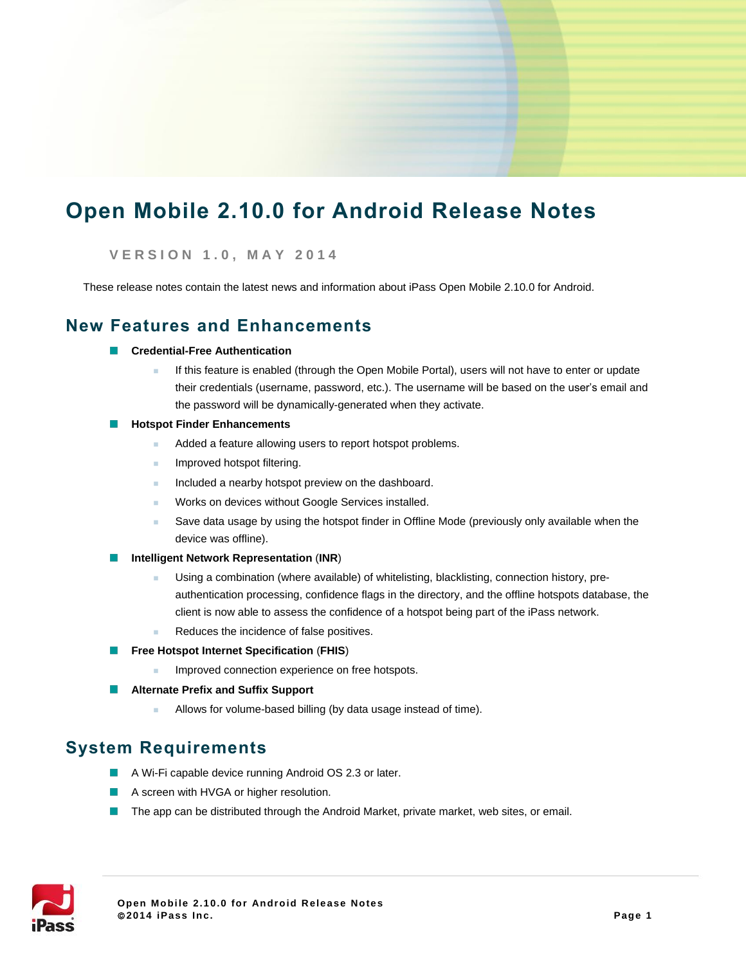# **Open Mobile 2.10.0 for Android Release Notes**

### **V E R S I O N 1 . 0 , M A Y 2 0 1 4**

These release notes contain the latest news and information about iPass Open Mobile 2.10.0 for Android.

### **New Features and Enhancements**

- **Credential-Free Authentication**
	- If this feature is enabled (through the Open Mobile Portal), users will not have to enter or update their credentials (username, password, etc.). The username will be based on the user's email and the password will be dynamically-generated when they activate.
- **Hotspot Finder Enhancements**
	- Added a feature allowing users to report hotspot problems.
	- **Improved hotspot filtering.**
	- Included a nearby hotspot preview on the dashboard.
	- **Norks on devices without Google Services installed.**
	- Save data usage by using the hotspot finder in Offline Mode (previously only available when the device was offline).
- **Intelligent Network Representation** (**INR**)
	- **Using a combination (where available) of whitelisting, blacklisting, connection history, pre**authentication processing, confidence flags in the directory, and the offline hotspots database, the client is now able to assess the confidence of a hotspot being part of the iPass network.
	- Reduces the incidence of false positives.
- **Free Hotspot Internet Specification (FHIS)** 
	- Improved connection experience on free hotspots.
- **Alternate Prefix and Suffix Support** 
	- **Allows for volume-based billing (by data usage instead of time).**

### **System Requirements**

- A Wi-Fi capable device running Android OS 2.3 or later.
- A screen with HVGA or higher resolution.
- **The app can be distributed through the Android Market, private market, web sites, or email.**

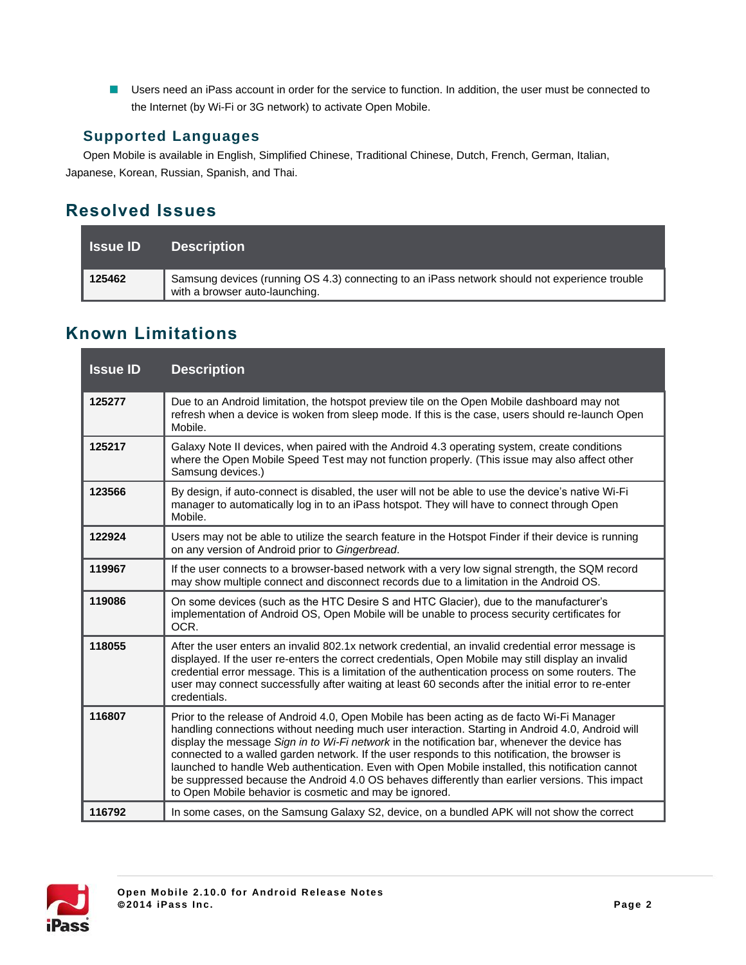**Users need an iPass account in order for the service to function. In addition, the user must be connected to** the Internet (by Wi-Fi or 3G network) to activate Open Mobile.

### **Supported Languages**

Open Mobile is available in English, Simplified Chinese, Traditional Chinese, Dutch, French, German, Italian, Japanese, Korean, Russian, Spanish, and Thai.

## **Resolved Issues**

| <b>Issue ID</b> | <b>Description</b>                                                                                                              |
|-----------------|---------------------------------------------------------------------------------------------------------------------------------|
| 125462          | Samsung devices (running OS 4.3) connecting to an iPass network should not experience trouble<br>with a browser auto-launching. |

## **Known Limitations**

| <b>Issue ID</b> | <b>Description</b>                                                                                                                                                                                                                                                                                                                                                                                                                                                                                                                                                                                                                                                    |
|-----------------|-----------------------------------------------------------------------------------------------------------------------------------------------------------------------------------------------------------------------------------------------------------------------------------------------------------------------------------------------------------------------------------------------------------------------------------------------------------------------------------------------------------------------------------------------------------------------------------------------------------------------------------------------------------------------|
| 125277          | Due to an Android limitation, the hotspot preview tile on the Open Mobile dashboard may not<br>refresh when a device is woken from sleep mode. If this is the case, users should re-launch Open<br>Mobile.                                                                                                                                                                                                                                                                                                                                                                                                                                                            |
| 125217          | Galaxy Note II devices, when paired with the Android 4.3 operating system, create conditions<br>where the Open Mobile Speed Test may not function properly. (This issue may also affect other<br>Samsung devices.)                                                                                                                                                                                                                                                                                                                                                                                                                                                    |
| 123566          | By design, if auto-connect is disabled, the user will not be able to use the device's native Wi-Fi<br>manager to automatically log in to an iPass hotspot. They will have to connect through Open<br>Mobile.                                                                                                                                                                                                                                                                                                                                                                                                                                                          |
| 122924          | Users may not be able to utilize the search feature in the Hotspot Finder if their device is running<br>on any version of Android prior to Gingerbread.                                                                                                                                                                                                                                                                                                                                                                                                                                                                                                               |
| 119967          | If the user connects to a browser-based network with a very low signal strength, the SQM record<br>may show multiple connect and disconnect records due to a limitation in the Android OS.                                                                                                                                                                                                                                                                                                                                                                                                                                                                            |
| 119086          | On some devices (such as the HTC Desire S and HTC Glacier), due to the manufacturer's<br>implementation of Android OS, Open Mobile will be unable to process security certificates for<br>OCR.                                                                                                                                                                                                                                                                                                                                                                                                                                                                        |
| 118055          | After the user enters an invalid 802.1x network credential, an invalid credential error message is<br>displayed. If the user re-enters the correct credentials, Open Mobile may still display an invalid<br>credential error message. This is a limitation of the authentication process on some routers. The<br>user may connect successfully after waiting at least 60 seconds after the initial error to re-enter<br>credentials.                                                                                                                                                                                                                                  |
| 116807          | Prior to the release of Android 4.0, Open Mobile has been acting as de facto Wi-Fi Manager<br>handling connections without needing much user interaction. Starting in Android 4.0, Android will<br>display the message Sign in to Wi-Fi network in the notification bar, whenever the device has<br>connected to a walled garden network. If the user responds to this notification, the browser is<br>launched to handle Web authentication. Even with Open Mobile installed, this notification cannot<br>be suppressed because the Android 4.0 OS behaves differently than earlier versions. This impact<br>to Open Mobile behavior is cosmetic and may be ignored. |
| 116792          | In some cases, on the Samsung Galaxy S2, device, on a bundled APK will not show the correct                                                                                                                                                                                                                                                                                                                                                                                                                                                                                                                                                                           |